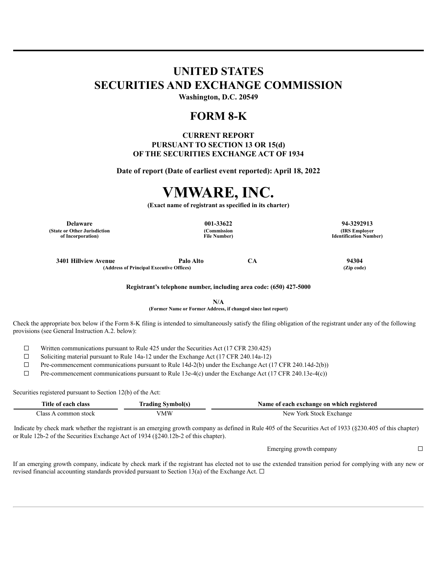## **UNITED STATES SECURITIES AND EXCHANGE COMMISSION**

**Washington, D.C. 20549**

### **FORM 8-K**

### **CURRENT REPORT PURSUANT TO SECTION 13 OR 15(d) OF THE SECURITIES EXCHANGE ACT OF 1934**

**Date of report (Date of earliest event reported): April 18, 2022**

# **VMWARE, INC.**

**(Exact name of registrant as specified in its charter)**

**Delaware 001-33622 94-3292913 (State or Other Jurisdiction of Incorporation)**

**(Commission File Number)**

**(IRS Employer Identification Number)**

**3401 Hillview Avenue Palo Alto CA 94304 (Address of Principal Executive Offices) (Zip code)**

**Registrant's telephone number, including area code: (650) 427-5000**

**N/A (Former Name or Former Address, if changed since last report)**

Check the appropriate box below if the Form 8-K filing is intended to simultaneously satisfy the filing obligation of the registrant under any of the following provisions (see General Instruction A.2. below):

 $\Box$  Written communications pursuant to Rule 425 under the Securities Act (17 CFR 230.425)

☐ Soliciting material pursuant to Rule 14a-12 under the Exchange Act (17 CFR 240.14a-12)

☐ Pre-commencement communications pursuant to Rule 14d-2(b) under the Exchange Act (17 CFR 240.14d-2(b))

 $\Box$  Pre-commencement communications pursuant to Rule 13e-4(c) under the Exchange Act (17 CFR 240.13e-4(c))

Securities registered pursuant to Section 12(b) of the Act:

| Title of each<br>class | Iradıng Symbol(s | Name of each exchange on which registered |
|------------------------|------------------|-------------------------------------------|
| :lass<br>common stock  | /MW              | New York Stock Exchange                   |

Indicate by check mark whether the registrant is an emerging growth company as defined in Rule 405 of the Securities Act of 1933 (§230.405 of this chapter) or Rule 12b-2 of the Securities Exchange Act of 1934 (§240.12b-2 of this chapter).

Emerging growth company  $\Box$ 

If an emerging growth company, indicate by check mark if the registrant has elected not to use the extended transition period for complying with any new or revised financial accounting standards provided pursuant to Section 13(a) of the Exchange Act.  $\Box$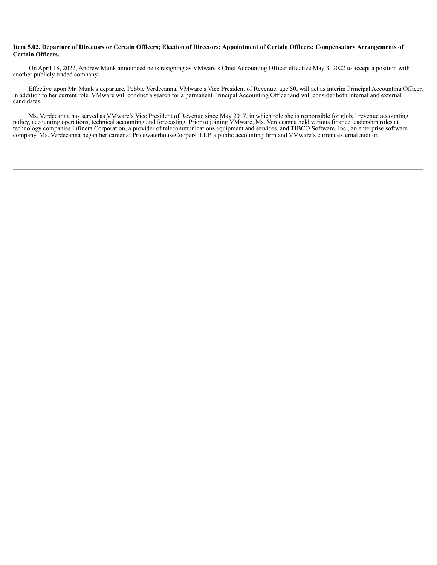#### Item 5.02. Departure of Directors or Certain Officers; Election of Directors; Appointment of Certain Officers; Compensatory Arrangements of **Certain Officers.**

On April 18, 2022, Andrew Munk announced he is resigning as VMware's Chief Accounting Officer effective May 3, 2022 to accept a position with another publicly traded company.

Effective upon Mr. Munk's departure, Pebbie Verdecanna, VMware's Vice President of Revenue, age 50, will act as interim Principal Accounting Officer, in addition to her current role. VMware will conduct a search for a permanent Principal Accounting Officer and will consider both internal and external candidates.

Ms. Verdecanna has served as VMware's Vice President of Revenue since May 2017, in which role she is responsible for global revenue accounting policy, accounting operations, technical accounting and forecasting. Prior to joining VMware, Ms. Verdecanna held various finance leadership roles at technology companies Infinera Corporation, a provider of telecommunications equipment and services, and TIBCO Software, Inc., an enterprise software company. Ms. Verdecanna began her career at PricewaterhouseCoopers, LLP, a public accounting firm and VMware's current external auditor.